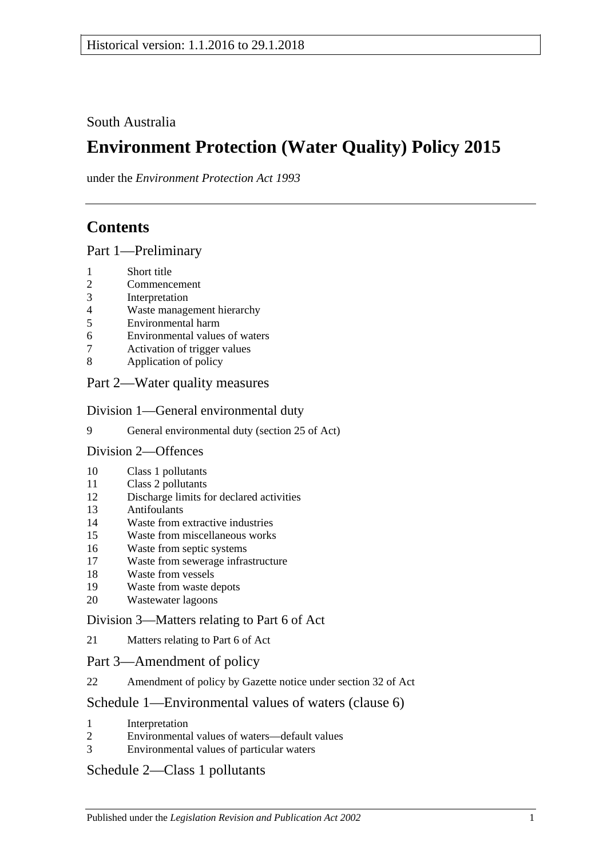South Australia

# **Environment Protection (Water Quality) Policy 2015**

under the *Environment Protection Act 1993*

## **Contents**

Part [1—Preliminary](#page-1-0)

- [Short title](#page-1-1)
- [Commencement](#page-1-2)
- [Interpretation](#page-1-3)
- [Waste management hierarchy](#page-5-0)
- [Environmental harm](#page-5-1)
- [Environmental values of waters](#page-6-0)
- [Activation of trigger values](#page-6-1)
- [Application of policy](#page-7-0)

## Part [2—Water quality measures](#page-8-0)

Division [1—General environmental duty](#page-8-1)

[General environmental duty \(section 25 of Act\)](#page-8-2)

Division [2—Offences](#page-9-0)

- [Class 1 pollutants](#page-9-1)
- [Class 2 pollutants](#page-9-2)
- [Discharge limits for declared activities](#page-10-0)
- [Antifoulants](#page-10-1)
- [Waste from extractive industries](#page-11-0)
- [Waste from miscellaneous works](#page-11-1)
- [Waste from septic systems](#page-12-0)
- [Waste from sewerage infrastructure](#page-13-0)
- [Waste from vessels](#page-13-1)
- [Waste from waste depots](#page-16-0)
- [Wastewater lagoons](#page-16-1)

## Division [3—Matters relating to Part](#page-16-2) 6 of Act

[Matters relating to Part](#page-16-3) 6 of Act

### Part [3—Amendment of policy](#page-17-0)

[Amendment of policy by Gazette notice under section](#page-17-1) 32 of Act

## Schedule [1—Environmental values of waters \(clause](#page-18-0) 6)

- [Interpretation](#page-18-1)
- [Environmental values of waters—default values](#page-18-2)
- [Environmental values of particular waters](#page-18-3)

## Schedule [2—Class 1 pollutants](#page-19-0)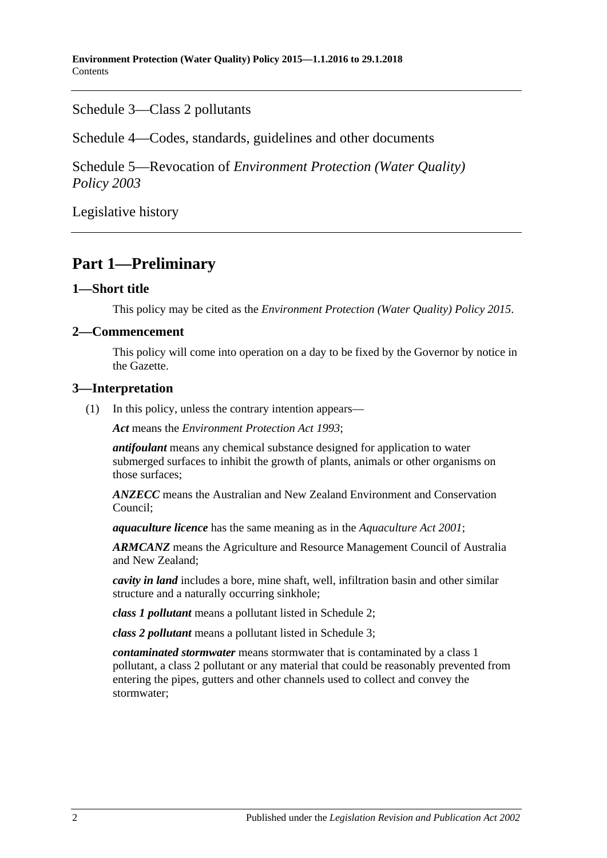Schedule [3—Class 2 pollutants](#page-20-0)

Schedule [4—Codes, standards, guidelines and other documents](#page-21-0)

Schedule 5—Revocation of *[Environment Protection \(Water Quality\)](#page-22-0)  [Policy](#page-22-0) 2003*

[Legislative history](#page-23-0)

## <span id="page-1-0"></span>**Part 1—Preliminary**

## <span id="page-1-1"></span>**1—Short title**

This policy may be cited as the *[Environment Protection \(Water Quality\) Policy](http://www.legislation.sa.gov.au/index.aspx?action=legref&type=subordleg&legtitle=Environment%20Protection%20(Water%20Quality)%20Policy%202015) 2015*.

## <span id="page-1-2"></span>**2—Commencement**

This policy will come into operation on a day to be fixed by the Governor by notice in the Gazette.

## <span id="page-1-3"></span>**3—Interpretation**

(1) In this policy, unless the contrary intention appears—

*Act* means the *[Environment Protection Act](http://www.legislation.sa.gov.au/index.aspx?action=legref&type=act&legtitle=Environment%20Protection%20Act%201993) 1993*;

*antifoulant* means any chemical substance designed for application to water submerged surfaces to inhibit the growth of plants, animals or other organisms on those surfaces;

*ANZECC* means the Australian and New Zealand Environment and Conservation Council;

*aquaculture licence* has the same meaning as in the *[Aquaculture Act](http://www.legislation.sa.gov.au/index.aspx?action=legref&type=act&legtitle=Aquaculture%20Act%202001) 2001*;

*ARMCANZ* means the Agriculture and Resource Management Council of Australia and New Zealand;

*cavity in land* includes a bore, mine shaft, well, infiltration basin and other similar structure and a naturally occurring sinkhole;

*class 1 pollutant* means a pollutant listed in [Schedule](#page-19-0) 2;

*class 2 pollutant* means a pollutant listed in [Schedule](#page-20-0) 3;

*contaminated stormwater* means stormwater that is contaminated by a class 1 pollutant, a class 2 pollutant or any material that could be reasonably prevented from entering the pipes, gutters and other channels used to collect and convey the stormwater;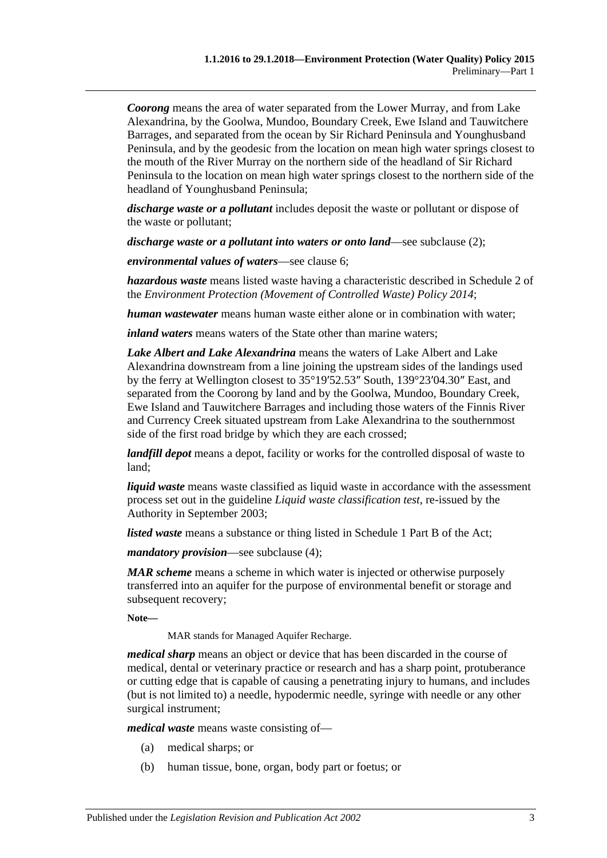*Coorong* means the area of water separated from the Lower Murray, and from Lake Alexandrina, by the Goolwa, Mundoo, Boundary Creek, Ewe Island and Tauwitchere Barrages, and separated from the ocean by Sir Richard Peninsula and Younghusband Peninsula, and by the geodesic from the location on mean high water springs closest to the mouth of the River Murray on the northern side of the headland of Sir Richard Peninsula to the location on mean high water springs closest to the northern side of the headland of Younghusband Peninsula;

*discharge waste or a pollutant* includes deposit the waste or pollutant or dispose of the waste or pollutant;

*discharge waste or a pollutant into waters or onto land*—see [subclause](#page-4-0) (2);

*environmental values of waters*—see [clause](#page-6-0) 6;

*hazardous waste* means listed waste having a characteristic described in Schedule 2 of the *[Environment Protection \(Movement of Controlled Waste\) Policy](http://www.legislation.sa.gov.au/index.aspx?action=legref&type=subordleg&legtitle=Environment%20Protection%20(Movement%20of%20Controlled%20Waste)%20Policy%202014) 2014*;

*human wastewater* means human waste either alone or in combination with water;

*inland waters* means waters of the State other than marine waters;

*Lake Albert and Lake Alexandrina* means the waters of Lake Albert and Lake Alexandrina downstream from a line joining the upstream sides of the landings used by the ferry at Wellington closest to 35°19′52.53″ South, 139°23′04.30″ East, and separated from the Coorong by land and by the Goolwa, Mundoo, Boundary Creek, Ewe Island and Tauwitchere Barrages and including those waters of the Finnis River and Currency Creek situated upstream from Lake Alexandrina to the southernmost side of the first road bridge by which they are each crossed;

*landfill depot* means a depot, facility or works for the controlled disposal of waste to land;

*liquid waste* means waste classified as liquid waste in accordance with the assessment process set out in the guideline *Liquid waste classification test*, re-issued by the Authority in September 2003;

*listed waste* means a substance or thing listed in Schedule 1 Part B of the Act;

*mandatory provision*—see [subclause](#page-5-2) (4);

*MAR scheme* means a scheme in which water is injected or otherwise purposely transferred into an aquifer for the purpose of environmental benefit or storage and subsequent recovery;

**Note—**

MAR stands for Managed Aquifer Recharge.

*medical sharp* means an object or device that has been discarded in the course of medical, dental or veterinary practice or research and has a sharp point, protuberance or cutting edge that is capable of causing a penetrating injury to humans, and includes (but is not limited to) a needle, hypodermic needle, syringe with needle or any other surgical instrument;

*medical waste* means waste consisting of—

- (a) medical sharps; or
- (b) human tissue, bone, organ, body part or foetus; or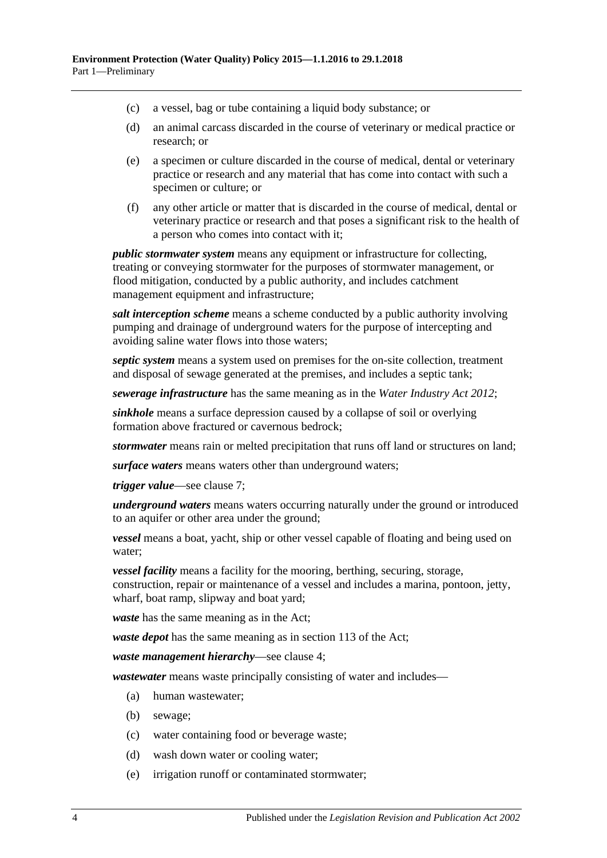- (c) a vessel, bag or tube containing a liquid body substance; or
- (d) an animal carcass discarded in the course of veterinary or medical practice or research; or
- (e) a specimen or culture discarded in the course of medical, dental or veterinary practice or research and any material that has come into contact with such a specimen or culture; or
- (f) any other article or matter that is discarded in the course of medical, dental or veterinary practice or research and that poses a significant risk to the health of a person who comes into contact with it;

*public stormwater system* means any equipment or infrastructure for collecting, treating or conveying stormwater for the purposes of stormwater management, or flood mitigation, conducted by a public authority, and includes catchment management equipment and infrastructure;

*salt interception scheme* means a scheme conducted by a public authority involving pumping and drainage of underground waters for the purpose of intercepting and avoiding saline water flows into those waters;

*septic system* means a system used on premises for the on-site collection, treatment and disposal of sewage generated at the premises, and includes a septic tank;

*sewerage infrastructure* has the same meaning as in the *[Water Industry Act](http://www.legislation.sa.gov.au/index.aspx?action=legref&type=act&legtitle=Water%20Industry%20Act%202012) 2012*;

*sinkhole* means a surface depression caused by a collapse of soil or overlying formation above fractured or cavernous bedrock;

*stormwater* means rain or melted precipitation that runs off land or structures on land;

*surface waters* means waters other than underground waters;

*trigger value*—see [clause](#page-6-1) 7;

*underground waters* means waters occurring naturally under the ground or introduced to an aquifer or other area under the ground;

*vessel* means a boat, yacht, ship or other vessel capable of floating and being used on water;

*vessel facility* means a facility for the mooring, berthing, securing, storage, construction, repair or maintenance of a vessel and includes a marina, pontoon, jetty, wharf, boat ramp, slipway and boat yard;

*waste* has the same meaning as in the Act;

*waste depot* has the same meaning as in section 113 of the Act;

*waste management hierarchy*—see [clause](#page-5-0) 4;

*wastewater* means waste principally consisting of water and includes—

- (a) human wastewater;
- (b) sewage;
- (c) water containing food or beverage waste;
- (d) wash down water or cooling water;
- (e) irrigation runoff or contaminated stormwater;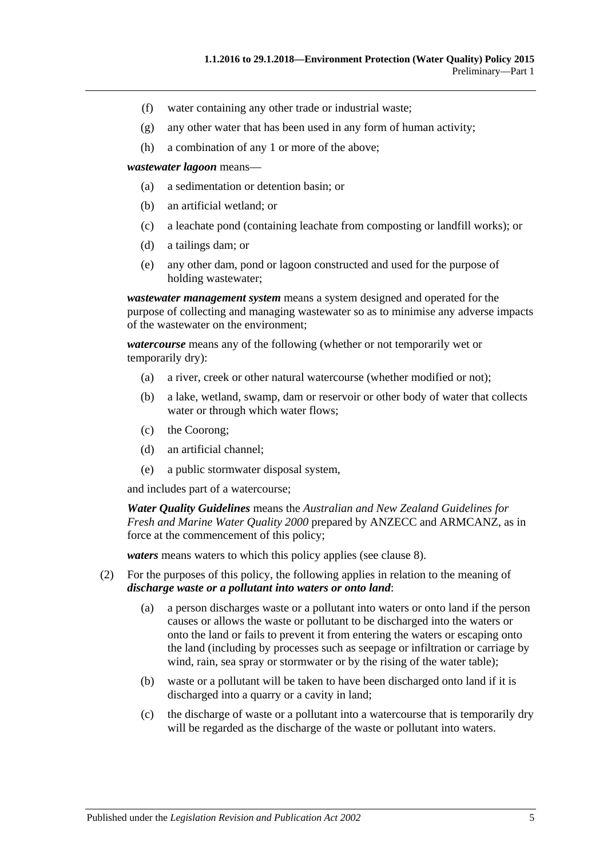- (f) water containing any other trade or industrial waste;
- (g) any other water that has been used in any form of human activity;
- (h) a combination of any 1 or more of the above;

*wastewater lagoon* means—

- (a) a sedimentation or detention basin; or
- (b) an artificial wetland; or
- (c) a leachate pond (containing leachate from composting or landfill works); or
- (d) a tailings dam; or
- (e) any other dam, pond or lagoon constructed and used for the purpose of holding wastewater;

*wastewater management system* means a system designed and operated for the purpose of collecting and managing wastewater so as to minimise any adverse impacts of the wastewater on the environment;

*watercourse* means any of the following (whether or not temporarily wet or temporarily dry):

- (a) a river, creek or other natural watercourse (whether modified or not);
- (b) a lake, wetland, swamp, dam or reservoir or other body of water that collects water or through which water flows;
- (c) the Coorong;
- (d) an artificial channel;
- (e) a public stormwater disposal system,

and includes part of a watercourse;

*Water Quality Guidelines* means the *Australian and New Zealand Guidelines for Fresh and Marine Water Quality 2000* prepared by ANZECC and ARMCANZ, as in force at the commencement of this policy;

*waters* means waters to which this policy applies (see [clause](#page-7-0) 8).

- <span id="page-4-0"></span>(2) For the purposes of this policy, the following applies in relation to the meaning of *discharge waste or a pollutant into waters or onto land*:
	- (a) a person discharges waste or a pollutant into waters or onto land if the person causes or allows the waste or pollutant to be discharged into the waters or onto the land or fails to prevent it from entering the waters or escaping onto the land (including by processes such as seepage or infiltration or carriage by wind, rain, sea spray or stormwater or by the rising of the water table);
	- (b) waste or a pollutant will be taken to have been discharged onto land if it is discharged into a quarry or a cavity in land;
	- (c) the discharge of waste or a pollutant into a watercourse that is temporarily dry will be regarded as the discharge of the waste or pollutant into waters.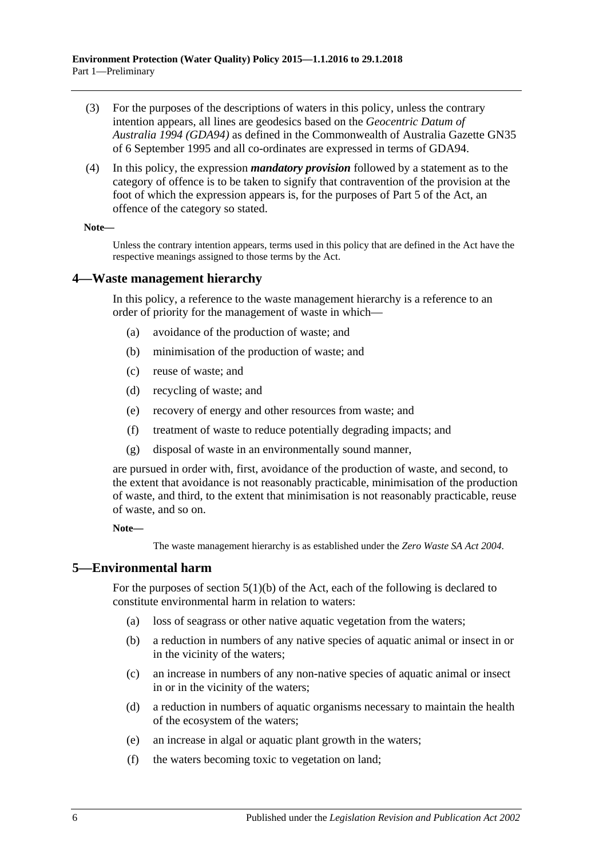- (3) For the purposes of the descriptions of waters in this policy, unless the contrary intention appears, all lines are geodesics based on the *Geocentric Datum of Australia 1994 (GDA94)* as defined in the Commonwealth of Australia Gazette GN35 of 6 September 1995 and all co-ordinates are expressed in terms of GDA94.
- <span id="page-5-2"></span>(4) In this policy, the expression *mandatory provision* followed by a statement as to the category of offence is to be taken to signify that contravention of the provision at the foot of which the expression appears is, for the purposes of Part 5 of the Act, an offence of the category so stated.

#### **Note—**

Unless the contrary intention appears, terms used in this policy that are defined in the Act have the respective meanings assigned to those terms by the Act.

#### <span id="page-5-0"></span>**4—Waste management hierarchy**

In this policy, a reference to the waste management hierarchy is a reference to an order of priority for the management of waste in which—

- (a) avoidance of the production of waste; and
- (b) minimisation of the production of waste; and
- (c) reuse of waste; and
- (d) recycling of waste; and
- (e) recovery of energy and other resources from waste; and
- (f) treatment of waste to reduce potentially degrading impacts; and
- (g) disposal of waste in an environmentally sound manner,

are pursued in order with, first, avoidance of the production of waste, and second, to the extent that avoidance is not reasonably practicable, minimisation of the production of waste, and third, to the extent that minimisation is not reasonably practicable, reuse of waste, and so on.

**Note—**

The waste management hierarchy is as established under the *[Zero Waste SA Act](http://www.legislation.sa.gov.au/index.aspx?action=legref&type=act&legtitle=Zero%20Waste%20SA%20Act%202004) 2004*.

#### <span id="page-5-1"></span>**5—Environmental harm**

For the purposes of section  $5(1)(b)$  of the Act, each of the following is declared to constitute environmental harm in relation to waters:

- (a) loss of seagrass or other native aquatic vegetation from the waters;
- (b) a reduction in numbers of any native species of aquatic animal or insect in or in the vicinity of the waters;
- (c) an increase in numbers of any non-native species of aquatic animal or insect in or in the vicinity of the waters;
- (d) a reduction in numbers of aquatic organisms necessary to maintain the health of the ecosystem of the waters;
- (e) an increase in algal or aquatic plant growth in the waters;
- (f) the waters becoming toxic to vegetation on land;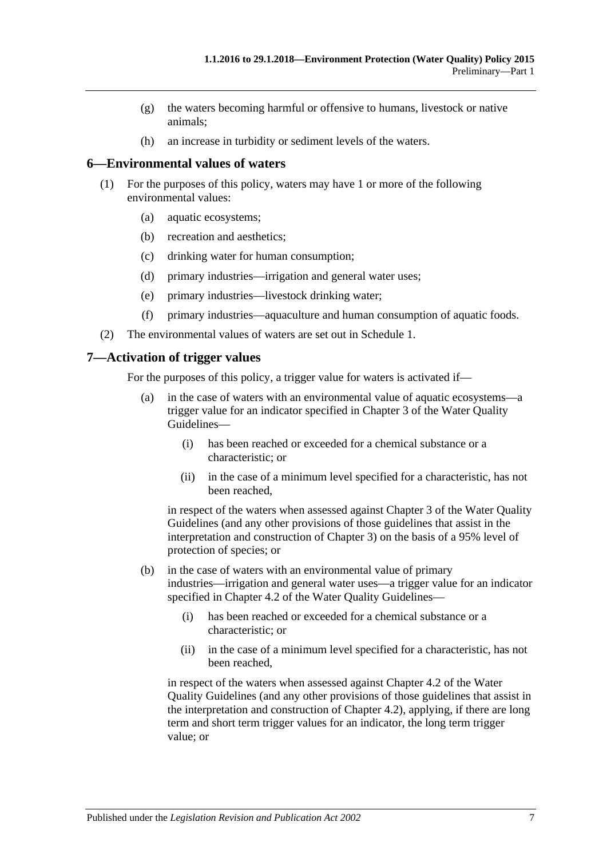- (g) the waters becoming harmful or offensive to humans, livestock or native animals;
- (h) an increase in turbidity or sediment levels of the waters.

#### <span id="page-6-0"></span>**6—Environmental values of waters**

- (1) For the purposes of this policy, waters may have 1 or more of the following environmental values:
	- (a) aquatic ecosystems;
	- (b) recreation and aesthetics;
	- (c) drinking water for human consumption;
	- (d) primary industries—irrigation and general water uses;
	- (e) primary industries—livestock drinking water;
	- (f) primary industries—aquaculture and human consumption of aquatic foods.
- (2) The environmental values of waters are set out in [Schedule](#page-18-0) 1.

#### <span id="page-6-1"></span>**7—Activation of trigger values**

For the purposes of this policy, a trigger value for waters is activated if—

- (a) in the case of waters with an environmental value of aquatic ecosystems—a trigger value for an indicator specified in Chapter 3 of the Water Quality Guidelines—
	- (i) has been reached or exceeded for a chemical substance or a characteristic; or
	- (ii) in the case of a minimum level specified for a characteristic, has not been reached,

in respect of the waters when assessed against Chapter 3 of the Water Quality Guidelines (and any other provisions of those guidelines that assist in the interpretation and construction of Chapter 3) on the basis of a 95% level of protection of species; or

- (b) in the case of waters with an environmental value of primary industries—irrigation and general water uses—a trigger value for an indicator specified in Chapter 4.2 of the Water Ouality Guidelines—
	- (i) has been reached or exceeded for a chemical substance or a characteristic; or
	- (ii) in the case of a minimum level specified for a characteristic, has not been reached,

in respect of the waters when assessed against Chapter 4.2 of the Water Quality Guidelines (and any other provisions of those guidelines that assist in the interpretation and construction of Chapter 4.2), applying, if there are long term and short term trigger values for an indicator, the long term trigger value; or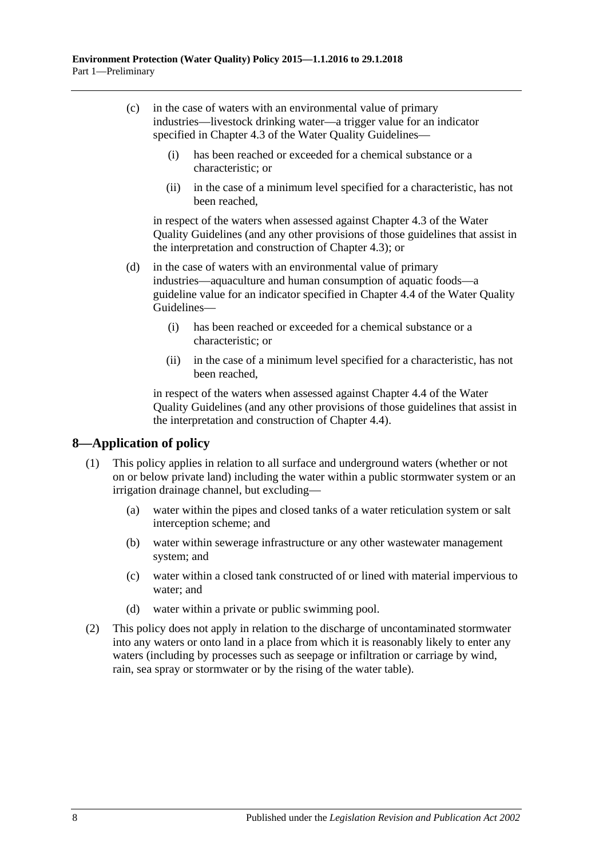- (c) in the case of waters with an environmental value of primary industries—livestock drinking water—a trigger value for an indicator specified in Chapter 4.3 of the Water Quality Guidelines—
	- (i) has been reached or exceeded for a chemical substance or a characteristic; or
	- (ii) in the case of a minimum level specified for a characteristic, has not been reached,

in respect of the waters when assessed against Chapter 4.3 of the Water Quality Guidelines (and any other provisions of those guidelines that assist in the interpretation and construction of Chapter 4.3); or

- (d) in the case of waters with an environmental value of primary industries—aquaculture and human consumption of aquatic foods—a guideline value for an indicator specified in Chapter 4.4 of the Water Quality Guidelines—
	- (i) has been reached or exceeded for a chemical substance or a characteristic; or
	- (ii) in the case of a minimum level specified for a characteristic, has not been reached,

in respect of the waters when assessed against Chapter 4.4 of the Water Quality Guidelines (and any other provisions of those guidelines that assist in the interpretation and construction of Chapter 4.4).

## <span id="page-7-0"></span>**8—Application of policy**

- (1) This policy applies in relation to all surface and underground waters (whether or not on or below private land) including the water within a public stormwater system or an irrigation drainage channel, but excluding—
	- (a) water within the pipes and closed tanks of a water reticulation system or salt interception scheme; and
	- (b) water within sewerage infrastructure or any other wastewater management system; and
	- (c) water within a closed tank constructed of or lined with material impervious to water; and
	- (d) water within a private or public swimming pool.
- (2) This policy does not apply in relation to the discharge of uncontaminated stormwater into any waters or onto land in a place from which it is reasonably likely to enter any waters (including by processes such as seepage or infiltration or carriage by wind, rain, sea spray or stormwater or by the rising of the water table).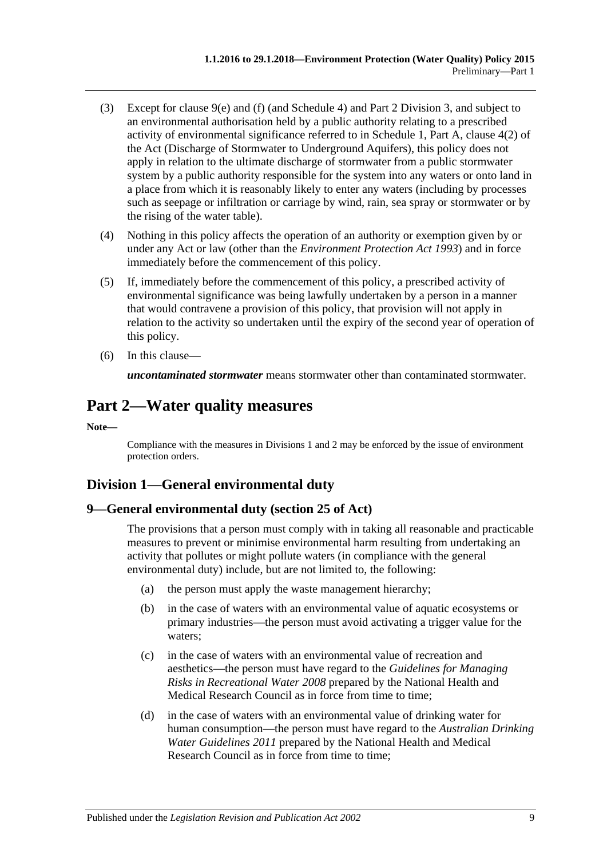- (3) Except for [clause](#page-9-3) 9(e) and [\(f\)](#page-9-4) (and [Schedule](#page-21-0) 4) and Part [2 Division](#page-16-2) 3, and subject to an environmental authorisation held by a public authority relating to a prescribed activity of environmental significance referred to in Schedule 1, Part A, clause 4(2) of the Act (Discharge of Stormwater to Underground Aquifers), this policy does not apply in relation to the ultimate discharge of stormwater from a public stormwater system by a public authority responsible for the system into any waters or onto land in a place from which it is reasonably likely to enter any waters (including by processes such as seepage or infiltration or carriage by wind, rain, sea spray or stormwater or by the rising of the water table).
- (4) Nothing in this policy affects the operation of an authority or exemption given by or under any Act or law (other than the *[Environment Protection Act](http://www.legislation.sa.gov.au/index.aspx?action=legref&type=act&legtitle=Environment%20Protection%20Act%201993) 1993*) and in force immediately before the commencement of this policy.
- (5) If, immediately before the commencement of this policy, a prescribed activity of environmental significance was being lawfully undertaken by a person in a manner that would contravene a provision of this policy, that provision will not apply in relation to the activity so undertaken until the expiry of the second year of operation of this policy.
- (6) In this clause—

*uncontaminated stormwater* means stormwater other than contaminated stormwater.

## <span id="page-8-0"></span>**Part 2—Water quality measures**

**Note—**

Compliance with the measures i[n Divisions](#page-8-1) 1 and 2 may be enforced by the issue of environment protection orders.

## <span id="page-8-1"></span>**Division 1—General environmental duty**

## <span id="page-8-2"></span>**9—General environmental duty (section 25 of Act)**

The provisions that a person must comply with in taking all reasonable and practicable measures to prevent or minimise environmental harm resulting from undertaking an activity that pollutes or might pollute waters (in compliance with the general environmental duty) include, but are not limited to, the following:

- (a) the person must apply the waste management hierarchy;
- (b) in the case of waters with an environmental value of aquatic ecosystems or primary industries—the person must avoid activating a trigger value for the waters;
- (c) in the case of waters with an environmental value of recreation and aesthetics—the person must have regard to the *Guidelines for Managing Risks in Recreational Water 2008* prepared by the National Health and Medical Research Council as in force from time to time;
- (d) in the case of waters with an environmental value of drinking water for human consumption—the person must have regard to the *Australian Drinking Water Guidelines 2011* prepared by the National Health and Medical Research Council as in force from time to time;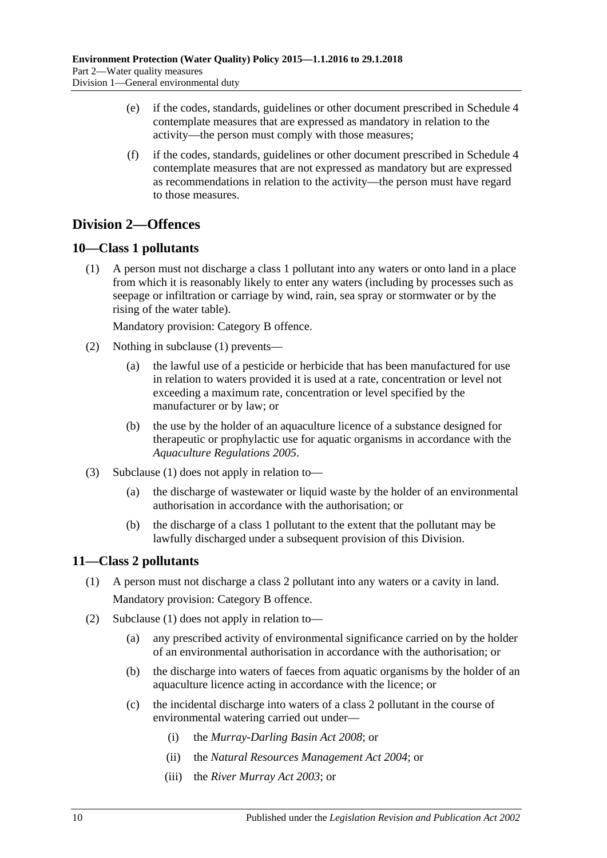- <span id="page-9-3"></span>(e) if the codes, standards, guidelines or other document prescribed in [Schedule](#page-21-0) 4 contemplate measures that are expressed as mandatory in relation to the activity—the person must comply with those measures;
- <span id="page-9-4"></span>(f) if the codes, standards, guidelines or other document prescribed in [Schedule](#page-21-0) 4 contemplate measures that are not expressed as mandatory but are expressed as recommendations in relation to the activity—the person must have regard to those measures.

## <span id="page-9-0"></span>**Division 2—Offences**

## <span id="page-9-5"></span><span id="page-9-1"></span>**10—Class 1 pollutants**

(1) A person must not discharge a class 1 pollutant into any waters or onto land in a place from which it is reasonably likely to enter any waters (including by processes such as seepage or infiltration or carriage by wind, rain, sea spray or stormwater or by the rising of the water table).

Mandatory provision: Category B offence.

- (2) Nothing in [subclause](#page-9-5) (1) prevents—
	- (a) the lawful use of a pesticide or herbicide that has been manufactured for use in relation to waters provided it is used at a rate, concentration or level not exceeding a maximum rate, concentration or level specified by the manufacturer or by law; or
	- (b) the use by the holder of an aquaculture licence of a substance designed for therapeutic or prophylactic use for aquatic organisms in accordance with the *[Aquaculture Regulations](http://www.legislation.sa.gov.au/index.aspx?action=legref&type=subordleg&legtitle=Aquaculture%20Regulations%202005) 2005*.
- (3) [Subclause](#page-9-5) (1) does not apply in relation to—
	- (a) the discharge of wastewater or liquid waste by the holder of an environmental authorisation in accordance with the authorisation; or
	- (b) the discharge of a class 1 pollutant to the extent that the pollutant may be lawfully discharged under a subsequent provision of this Division.

### <span id="page-9-6"></span><span id="page-9-2"></span>**11—Class 2 pollutants**

- (1) A person must not discharge a class 2 pollutant into any waters or a cavity in land. Mandatory provision: Category B offence.
- (2) [Subclause](#page-9-6) (1) does not apply in relation to—
	- (a) any prescribed activity of environmental significance carried on by the holder of an environmental authorisation in accordance with the authorisation; or
	- (b) the discharge into waters of faeces from aquatic organisms by the holder of an aquaculture licence acting in accordance with the licence; or
	- (c) the incidental discharge into waters of a class 2 pollutant in the course of environmental watering carried out under—
		- (i) the *[Murray-Darling Basin Act](http://www.legislation.sa.gov.au/index.aspx?action=legref&type=act&legtitle=Murray-Darling%20Basin%20Act%202008) 2008*; or
		- (ii) the *[Natural Resources Management Act](http://www.legislation.sa.gov.au/index.aspx?action=legref&type=act&legtitle=Natural%20Resources%20Management%20Act%202004) 2004*; or
		- (iii) the *[River Murray Act](http://www.legislation.sa.gov.au/index.aspx?action=legref&type=act&legtitle=River%20Murray%20Act%202003) 2003*; or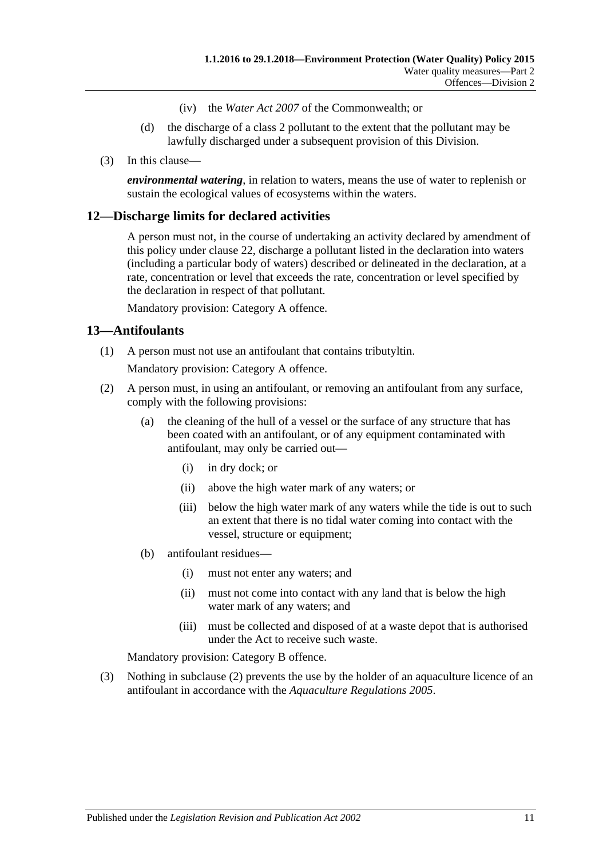- (iv) the *Water Act 2007* of the Commonwealth; or
- (d) the discharge of a class 2 pollutant to the extent that the pollutant may be lawfully discharged under a subsequent provision of this Division.
- (3) In this clause—

*environmental watering*, in relation to waters, means the use of water to replenish or sustain the ecological values of ecosystems within the waters.

#### <span id="page-10-0"></span>**12—Discharge limits for declared activities**

A person must not, in the course of undertaking an activity declared by amendment of this policy under [clause](#page-17-1) 22, discharge a pollutant listed in the declaration into waters (including a particular body of waters) described or delineated in the declaration, at a rate, concentration or level that exceeds the rate, concentration or level specified by the declaration in respect of that pollutant.

Mandatory provision: Category A offence.

### <span id="page-10-1"></span>**13—Antifoulants**

(1) A person must not use an antifoulant that contains tributyltin.

Mandatory provision: Category A offence.

- <span id="page-10-2"></span>(2) A person must, in using an antifoulant, or removing an antifoulant from any surface, comply with the following provisions:
	- (a) the cleaning of the hull of a vessel or the surface of any structure that has been coated with an antifoulant, or of any equipment contaminated with antifoulant, may only be carried out—
		- (i) in dry dock; or
		- (ii) above the high water mark of any waters; or
		- (iii) below the high water mark of any waters while the tide is out to such an extent that there is no tidal water coming into contact with the vessel, structure or equipment;
	- (b) antifoulant residues—
		- (i) must not enter any waters; and
		- (ii) must not come into contact with any land that is below the high water mark of any waters; and
		- (iii) must be collected and disposed of at a waste depot that is authorised under the Act to receive such waste.

Mandatory provision: Category B offence.

(3) Nothing in [subclause](#page-10-2) (2) prevents the use by the holder of an aquaculture licence of an antifoulant in accordance with the *[Aquaculture Regulations](http://www.legislation.sa.gov.au/index.aspx?action=legref&type=subordleg&legtitle=Aquaculture%20Regulations%202005) 2005*.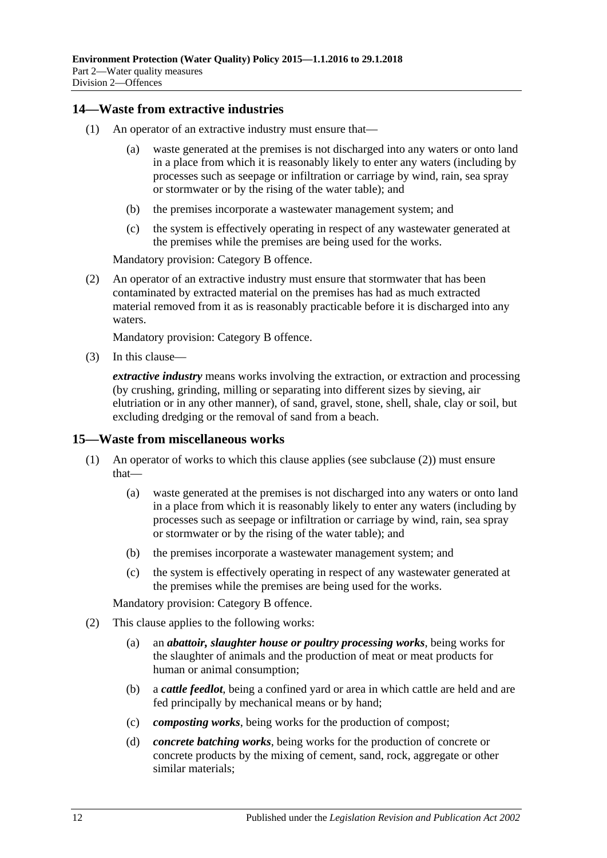### <span id="page-11-0"></span>**14—Waste from extractive industries**

- (1) An operator of an extractive industry must ensure that—
	- (a) waste generated at the premises is not discharged into any waters or onto land in a place from which it is reasonably likely to enter any waters (including by processes such as seepage or infiltration or carriage by wind, rain, sea spray or stormwater or by the rising of the water table); and
	- (b) the premises incorporate a wastewater management system; and
	- (c) the system is effectively operating in respect of any wastewater generated at the premises while the premises are being used for the works.

Mandatory provision: Category B offence.

(2) An operator of an extractive industry must ensure that stormwater that has been contaminated by extracted material on the premises has had as much extracted material removed from it as is reasonably practicable before it is discharged into any waters.

Mandatory provision: Category B offence.

(3) In this clause—

*extractive industry* means works involving the extraction, or extraction and processing (by crushing, grinding, milling or separating into different sizes by sieving, air elutriation or in any other manner), of sand, gravel, stone, shell, shale, clay or soil, but excluding dredging or the removal of sand from a beach.

#### <span id="page-11-1"></span>**15—Waste from miscellaneous works**

- (1) An operator of works to which this clause applies (see [subclause](#page-11-2) (2)) must ensure that—
	- (a) waste generated at the premises is not discharged into any waters or onto land in a place from which it is reasonably likely to enter any waters (including by processes such as seepage or infiltration or carriage by wind, rain, sea spray or stormwater or by the rising of the water table); and
	- (b) the premises incorporate a wastewater management system; and
	- (c) the system is effectively operating in respect of any wastewater generated at the premises while the premises are being used for the works.

Mandatory provision: Category B offence.

- <span id="page-11-2"></span>(2) This clause applies to the following works:
	- (a) an *abattoir, slaughter house or poultry processing works*, being works for the slaughter of animals and the production of meat or meat products for human or animal consumption;
	- (b) a *cattle feedlot*, being a confined yard or area in which cattle are held and are fed principally by mechanical means or by hand;
	- (c) *composting works*, being works for the production of compost;
	- (d) *concrete batching works*, being works for the production of concrete or concrete products by the mixing of cement, sand, rock, aggregate or other similar materials;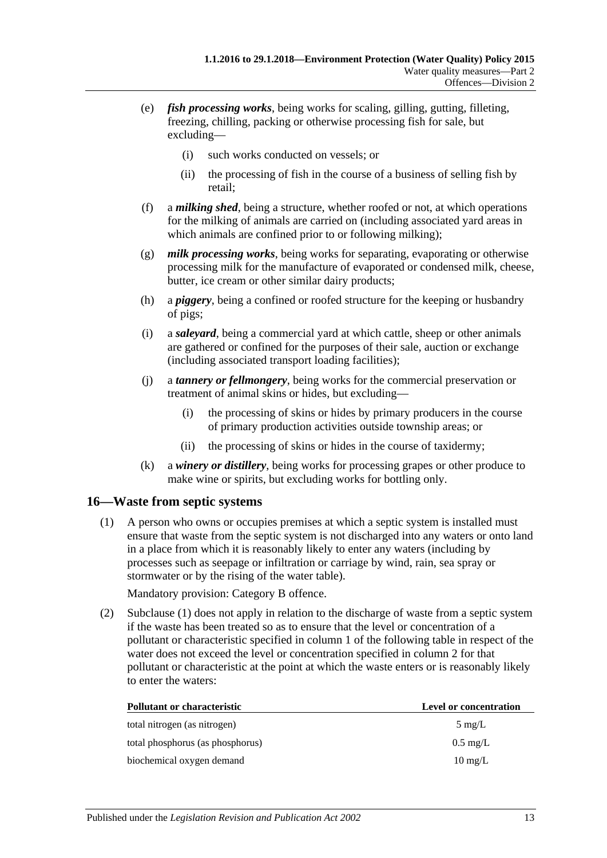- (e) *fish processing works*, being works for scaling, gilling, gutting, filleting, freezing, chilling, packing or otherwise processing fish for sale, but excluding—
	- (i) such works conducted on vessels; or
	- (ii) the processing of fish in the course of a business of selling fish by retail;
- (f) a *milking shed*, being a structure, whether roofed or not, at which operations for the milking of animals are carried on (including associated yard areas in which animals are confined prior to or following milking);
- (g) *milk processing works*, being works for separating, evaporating or otherwise processing milk for the manufacture of evaporated or condensed milk, cheese, butter, ice cream or other similar dairy products;
- (h) a *piggery*, being a confined or roofed structure for the keeping or husbandry of pigs;
- (i) a *saleyard*, being a commercial yard at which cattle, sheep or other animals are gathered or confined for the purposes of their sale, auction or exchange (including associated transport loading facilities);
- (j) a *tannery or fellmongery*, being works for the commercial preservation or treatment of animal skins or hides, but excluding—
	- (i) the processing of skins or hides by primary producers in the course of primary production activities outside township areas; or
	- (ii) the processing of skins or hides in the course of taxidermy;
- (k) a *winery or distillery*, being works for processing grapes or other produce to make wine or spirits, but excluding works for bottling only.

### <span id="page-12-1"></span><span id="page-12-0"></span>**16—Waste from septic systems**

(1) A person who owns or occupies premises at which a septic system is installed must ensure that waste from the septic system is not discharged into any waters or onto land in a place from which it is reasonably likely to enter any waters (including by processes such as seepage or infiltration or carriage by wind, rain, sea spray or stormwater or by the rising of the water table).

Mandatory provision: Category B offence.

(2) [Subclause](#page-12-1) (1) does not apply in relation to the discharge of waste from a septic system if the waste has been treated so as to ensure that the level or concentration of a pollutant or characteristic specified in column 1 of the following table in respect of the water does not exceed the level or concentration specified in column 2 for that pollutant or characteristic at the point at which the waste enters or is reasonably likely to enter the waters:

| <b>Pollutant or characteristic</b> | Level or concentration |
|------------------------------------|------------------------|
| total nitrogen (as nitrogen)       | $5 \text{ mg/L}$       |
| total phosphorus (as phosphorus)   | $0.5 \text{ mg/L}$     |
| biochemical oxygen demand          | $10 \text{ mg/L}$      |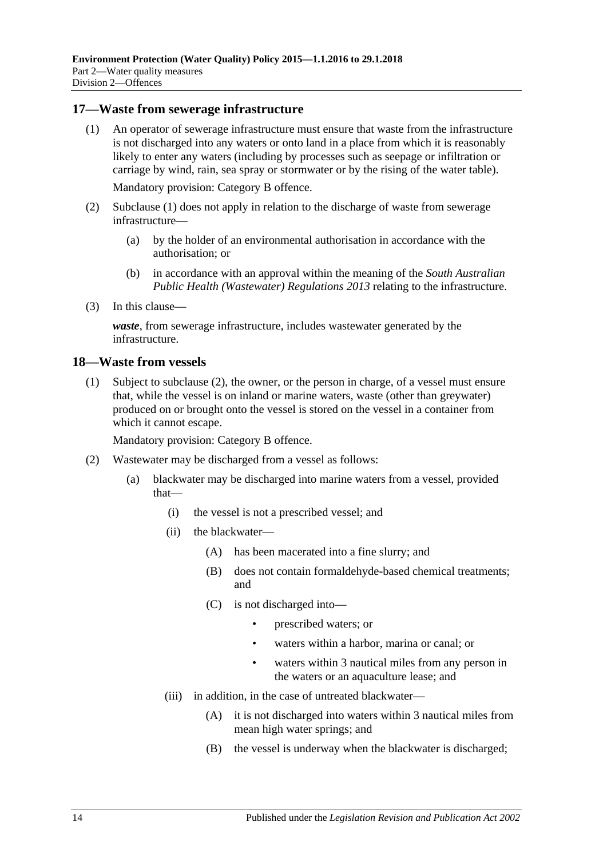#### <span id="page-13-2"></span><span id="page-13-0"></span>**17—Waste from sewerage infrastructure**

(1) An operator of sewerage infrastructure must ensure that waste from the infrastructure is not discharged into any waters or onto land in a place from which it is reasonably likely to enter any waters (including by processes such as seepage or infiltration or carriage by wind, rain, sea spray or stormwater or by the rising of the water table).

Mandatory provision: Category B offence.

- (2) [Subclause](#page-13-2) (1) does not apply in relation to the discharge of waste from sewerage infrastructure—
	- (a) by the holder of an environmental authorisation in accordance with the authorisation; or
	- (b) in accordance with an approval within the meaning of the *[South Australian](http://www.legislation.sa.gov.au/index.aspx?action=legref&type=subordleg&legtitle=South%20Australian%20Public%20Health%20(Wastewater)%20Regulations%202013)  [Public Health \(Wastewater\) Regulations](http://www.legislation.sa.gov.au/index.aspx?action=legref&type=subordleg&legtitle=South%20Australian%20Public%20Health%20(Wastewater)%20Regulations%202013) 2013* relating to the infrastructure.
- (3) In this clause—

*waste*, from sewerage infrastructure, includes wastewater generated by the infrastructure.

#### <span id="page-13-4"></span><span id="page-13-1"></span>**18—Waste from vessels**

(1) Subject to [subclause](#page-13-3) (2), the owner, or the person in charge, of a vessel must ensure that, while the vessel is on inland or marine waters, waste (other than greywater) produced on or brought onto the vessel is stored on the vessel in a container from which it cannot escape.

Mandatory provision: Category B offence.

- <span id="page-13-3"></span>(2) Wastewater may be discharged from a vessel as follows:
	- (a) blackwater may be discharged into marine waters from a vessel, provided that—
		- (i) the vessel is not a prescribed vessel; and
		- (ii) the blackwater—
			- (A) has been macerated into a fine slurry; and
			- (B) does not contain formaldehyde-based chemical treatments; and
			- (C) is not discharged into—
				- prescribed waters; or
				- waters within a harbor, marina or canal; or
				- waters within 3 nautical miles from any person in the waters or an aquaculture lease; and
		- (iii) in addition, in the case of untreated blackwater—
			- (A) it is not discharged into waters within 3 nautical miles from mean high water springs; and
			- (B) the vessel is underway when the blackwater is discharged;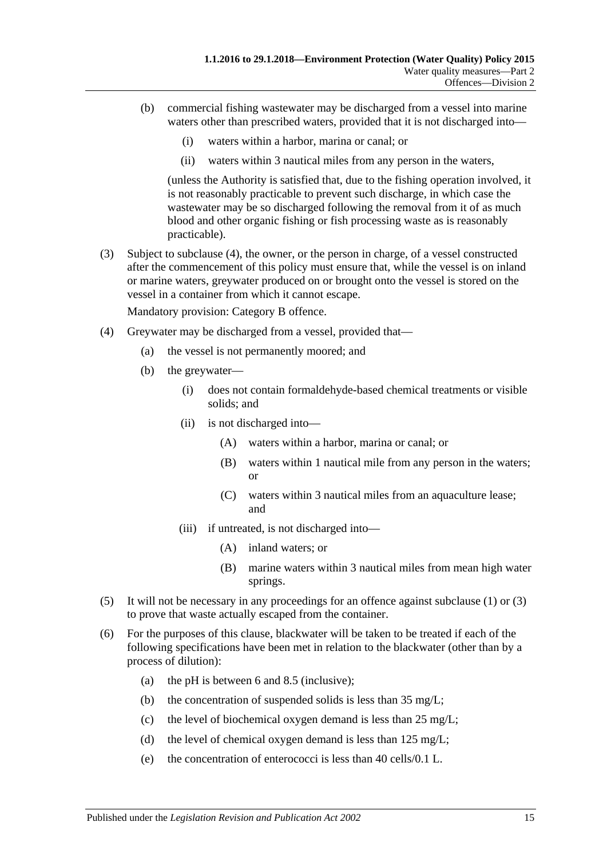- (b) commercial fishing wastewater may be discharged from a vessel into marine waters other than prescribed waters, provided that it is not discharged into—
	- (i) waters within a harbor, marina or canal; or
	- (ii) waters within 3 nautical miles from any person in the waters,

(unless the Authority is satisfied that, due to the fishing operation involved, it is not reasonably practicable to prevent such discharge, in which case the wastewater may be so discharged following the removal from it of as much blood and other organic fishing or fish processing waste as is reasonably practicable).

<span id="page-14-1"></span>(3) Subject to [subclause](#page-14-0) (4), the owner, or the person in charge, of a vessel constructed after the commencement of this policy must ensure that, while the vessel is on inland or marine waters, greywater produced on or brought onto the vessel is stored on the vessel in a container from which it cannot escape.

Mandatory provision: Category B offence.

- <span id="page-14-0"></span>(4) Greywater may be discharged from a vessel, provided that—
	- (a) the vessel is not permanently moored; and
	- (b) the greywater—
		- (i) does not contain formaldehyde-based chemical treatments or visible solids; and
		- (ii) is not discharged into—
			- (A) waters within a harbor, marina or canal; or
			- (B) waters within 1 nautical mile from any person in the waters; or
			- (C) waters within 3 nautical miles from an aquaculture lease; and
		- (iii) if untreated, is not discharged into—
			- (A) inland waters; or
			- (B) marine waters within 3 nautical miles from mean high water springs.
- (5) It will not be necessary in any proceedings for an offence against [subclause](#page-13-4) (1) or [\(3\)](#page-14-1) to prove that waste actually escaped from the container.
- <span id="page-14-2"></span>(6) For the purposes of this clause, blackwater will be taken to be treated if each of the following specifications have been met in relation to the blackwater (other than by a process of dilution):
	- (a) the pH is between 6 and 8.5 (inclusive);
	- (b) the concentration of suspended solids is less than 35 mg/L;
	- (c) the level of biochemical oxygen demand is less than 25 mg/L;
	- (d) the level of chemical oxygen demand is less than 125 mg/L;
	- (e) the concentration of enterococci is less than 40 cells/0.1 L.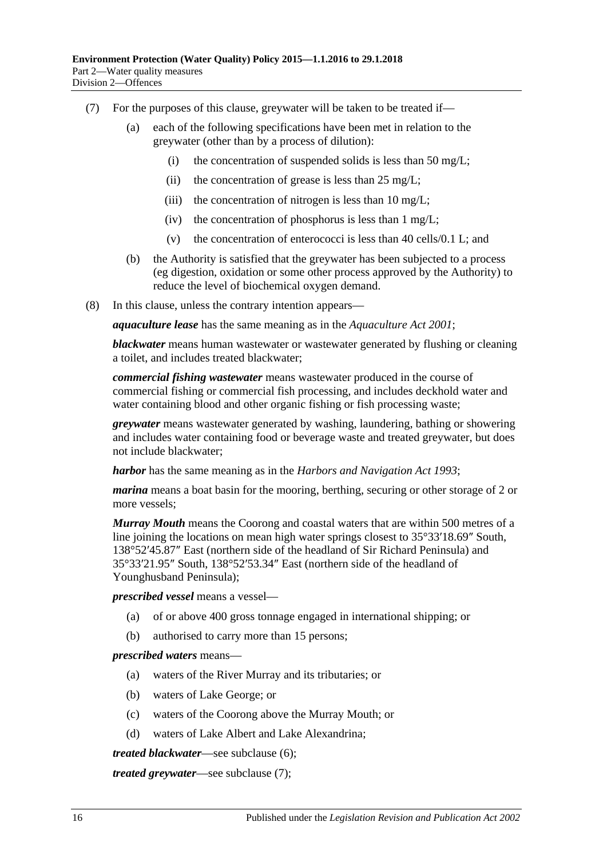- <span id="page-15-0"></span>(7) For the purposes of this clause, greywater will be taken to be treated if—
	- (a) each of the following specifications have been met in relation to the greywater (other than by a process of dilution):
		- (i) the concentration of suspended solids is less than 50 mg/L;
		- (ii) the concentration of grease is less than  $25 \text{ mg/L}$ ;
		- (iii) the concentration of nitrogen is less than  $10 \text{ mg/L}$ ;
		- (iv) the concentration of phosphorus is less than  $1 \text{ mg/L}$ ;
		- (v) the concentration of enterococci is less than 40 cells/0.1 L; and
	- (b) the Authority is satisfied that the greywater has been subjected to a process (eg digestion, oxidation or some other process approved by the Authority) to reduce the level of biochemical oxygen demand.
- (8) In this clause, unless the contrary intention appears—

*aquaculture lease* has the same meaning as in the *[Aquaculture Act](http://www.legislation.sa.gov.au/index.aspx?action=legref&type=act&legtitle=Aquaculture%20Act%202001) 2001*;

*blackwater* means human wastewater or wastewater generated by flushing or cleaning a toilet, and includes treated blackwater;

*commercial fishing wastewater* means wastewater produced in the course of commercial fishing or commercial fish processing, and includes deckhold water and water containing blood and other organic fishing or fish processing waste;

*greywater* means wastewater generated by washing, laundering, bathing or showering and includes water containing food or beverage waste and treated greywater, but does not include blackwater;

*harbor* has the same meaning as in the *[Harbors and Navigation Act](http://www.legislation.sa.gov.au/index.aspx?action=legref&type=act&legtitle=Harbors%20and%20Navigation%20Act%201993) 1993*;

*marina* means a boat basin for the mooring, berthing, securing or other storage of 2 or more vessels;

*Murray Mouth* means the Coorong and coastal waters that are within 500 metres of a line joining the locations on mean high water springs closest to 35°33′18.69″ South, 138°52′45.87″ East (northern side of the headland of Sir Richard Peninsula) and 35°33′21.95″ South, 138°52′53.34″ East (northern side of the headland of Younghusband Peninsula);

*prescribed vessel* means a vessel—

- (a) of or above 400 gross tonnage engaged in international shipping; or
- (b) authorised to carry more than 15 persons;

#### *prescribed waters* means—

- (a) waters of the River Murray and its tributaries; or
- (b) waters of Lake George; or
- (c) waters of the Coorong above the Murray Mouth; or
- (d) waters of Lake Albert and Lake Alexandrina;

*treated blackwater*—see [subclause](#page-14-2) (6);

*treated greywater*—see [subclause](#page-15-0) (7);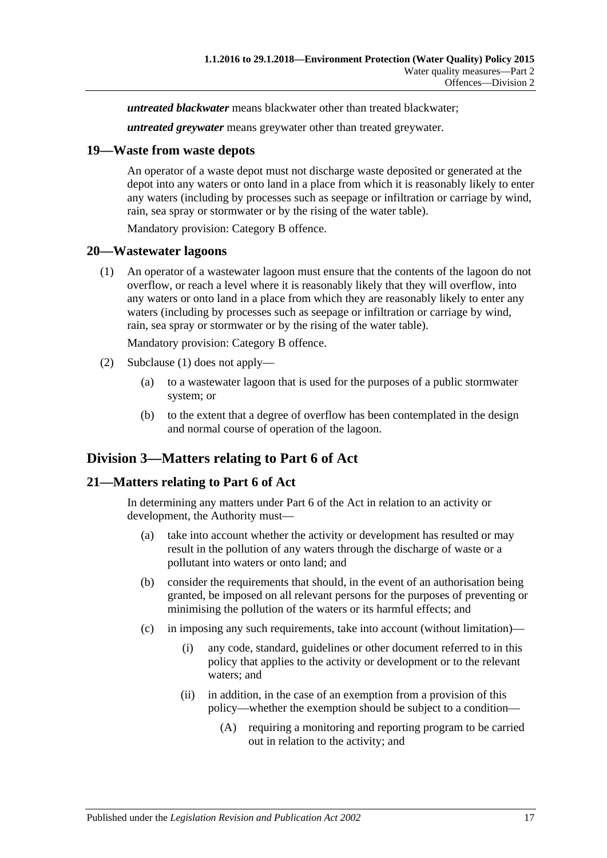*untreated blackwater* means blackwater other than treated blackwater;

*untreated greywater* means greywater other than treated greywater.

#### <span id="page-16-0"></span>**19—Waste from waste depots**

An operator of a waste depot must not discharge waste deposited or generated at the depot into any waters or onto land in a place from which it is reasonably likely to enter any waters (including by processes such as seepage or infiltration or carriage by wind, rain, sea spray or stormwater or by the rising of the water table).

Mandatory provision: Category B offence.

#### <span id="page-16-4"></span><span id="page-16-1"></span>**20—Wastewater lagoons**

(1) An operator of a wastewater lagoon must ensure that the contents of the lagoon do not overflow, or reach a level where it is reasonably likely that they will overflow, into any waters or onto land in a place from which they are reasonably likely to enter any waters (including by processes such as seepage or infiltration or carriage by wind, rain, sea spray or stormwater or by the rising of the water table).

Mandatory provision: Category B offence.

- (2) [Subclause](#page-16-4) (1) does not apply—
	- (a) to a wastewater lagoon that is used for the purposes of a public stormwater system; or
	- (b) to the extent that a degree of overflow has been contemplated in the design and normal course of operation of the lagoon.

## <span id="page-16-2"></span>**Division 3—Matters relating to Part 6 of Act**

### <span id="page-16-3"></span>**21—Matters relating to Part 6 of Act**

In determining any matters under Part 6 of the Act in relation to an activity or development, the Authority must—

- (a) take into account whether the activity or development has resulted or may result in the pollution of any waters through the discharge of waste or a pollutant into waters or onto land; and
- (b) consider the requirements that should, in the event of an authorisation being granted, be imposed on all relevant persons for the purposes of preventing or minimising the pollution of the waters or its harmful effects; and
- (c) in imposing any such requirements, take into account (without limitation)—
	- (i) any code, standard, guidelines or other document referred to in this policy that applies to the activity or development or to the relevant waters; and
	- (ii) in addition, in the case of an exemption from a provision of this policy—whether the exemption should be subject to a condition—
		- (A) requiring a monitoring and reporting program to be carried out in relation to the activity; and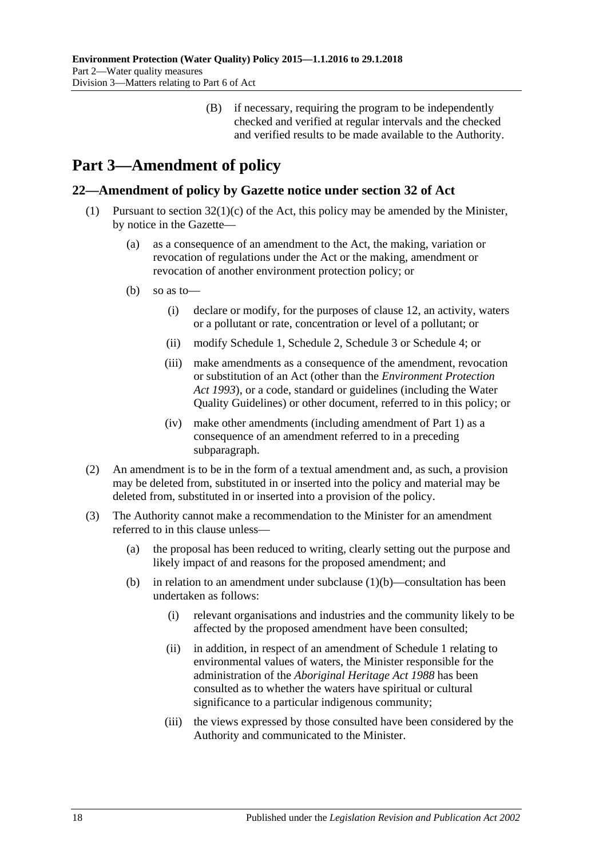(B) if necessary, requiring the program to be independently checked and verified at regular intervals and the checked and verified results to be made available to the Authority.

# <span id="page-17-0"></span>**Part 3—Amendment of policy**

## <span id="page-17-1"></span>**22—Amendment of policy by Gazette notice under section 32 of Act**

- <span id="page-17-2"></span>(1) Pursuant to section  $32(1)(c)$  of the Act, this policy may be amended by the Minister, by notice in the Gazette—
	- (a) as a consequence of an amendment to the Act, the making, variation or revocation of regulations under the Act or the making, amendment or revocation of another environment protection policy; or
	- (b) so as to—
		- (i) declare or modify, for the purposes of [clause](#page-10-0) 12, an activity, waters or a pollutant or rate, concentration or level of a pollutant; or
		- (ii) modify [Schedule](#page-18-0) 1, [Schedule](#page-19-0) 2, [Schedule](#page-20-0) 3 or [Schedule](#page-21-0) 4; or
		- (iii) make amendments as a consequence of the amendment, revocation or substitution of an Act (other than the *[Environment Protection](http://www.legislation.sa.gov.au/index.aspx?action=legref&type=act&legtitle=Environment%20Protection%20Act%201993)  Act [1993](http://www.legislation.sa.gov.au/index.aspx?action=legref&type=act&legtitle=Environment%20Protection%20Act%201993)*), or a code, standard or guidelines (including the Water Quality Guidelines) or other document, referred to in this policy; or
		- (iv) make other amendments (including amendment of [Part](#page-1-0) 1) as a consequence of an amendment referred to in a preceding subparagraph.
- (2) An amendment is to be in the form of a textual amendment and, as such, a provision may be deleted from, substituted in or inserted into the policy and material may be deleted from, substituted in or inserted into a provision of the policy.
- (3) The Authority cannot make a recommendation to the Minister for an amendment referred to in this clause unless—
	- (a) the proposal has been reduced to writing, clearly setting out the purpose and likely impact of and reasons for the proposed amendment; and
	- (b) in relation to an amendment under [subclause](#page-17-2)  $(1)(b)$ —consultation has been undertaken as follows:
		- (i) relevant organisations and industries and the community likely to be affected by the proposed amendment have been consulted;
		- (ii) in addition, in respect of an amendment of [Schedule](#page-18-0) 1 relating to environmental values of waters, the Minister responsible for the administration of the *[Aboriginal Heritage Act](http://www.legislation.sa.gov.au/index.aspx?action=legref&type=act&legtitle=Aboriginal%20Heritage%20Act%201988) 1988* has been consulted as to whether the waters have spiritual or cultural significance to a particular indigenous community;
		- (iii) the views expressed by those consulted have been considered by the Authority and communicated to the Minister.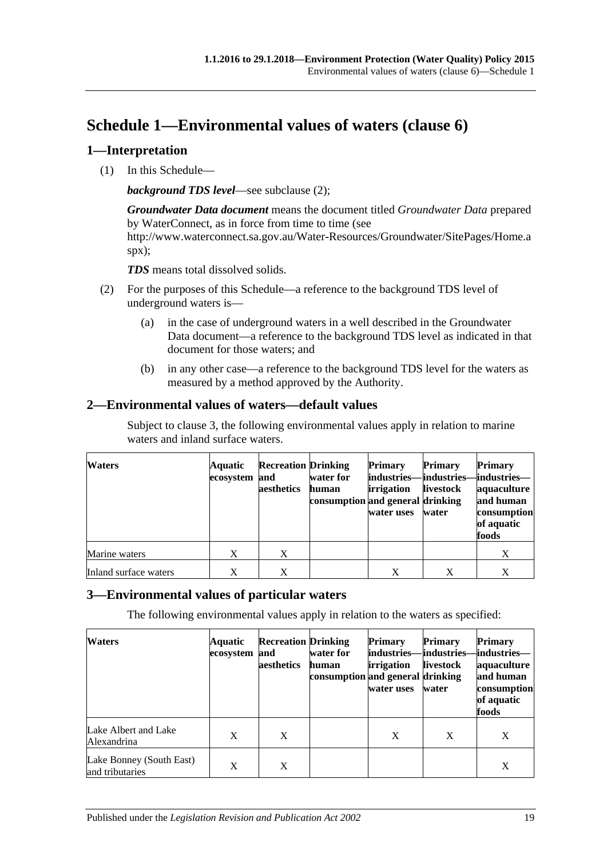## <span id="page-18-0"></span>**Schedule 1—Environmental values of waters [\(clause](#page-6-0) 6)**

## <span id="page-18-1"></span>**1—Interpretation**

(1) In this Schedule—

*background TDS level*—see [subclause](#page-18-4) (2);

*Groundwater Data document* means the document titled *Groundwater Data* prepared by WaterConnect, as in force from time to time (see http://www.waterconnect.sa.gov.au/Water-Resources/Groundwater/SitePages/Home.a spx);

*TDS* means total dissolved solids.

- <span id="page-18-4"></span>(2) For the purposes of this Schedule—a reference to the background TDS level of underground waters is—
	- (a) in the case of underground waters in a well described in the Groundwater Data document—a reference to the background TDS level as indicated in that document for those waters; and
	- (b) in any other case—a reference to the background TDS level for the waters as measured by a method approved by the Authority.

## <span id="page-18-2"></span>**2—Environmental values of waters—default values**

Subject to [clause](#page-18-3) 3, the following environmental values apply in relation to marine waters and inland surface waters.

| <b>Waters</b>         | Aquatic<br>ecosystem | <b>Recreation Drinking</b><br>and<br>aesthetics | water for<br>human<br>consumption and general drinking | <b>Primary</b><br>industries—industries—industries—<br><b>irrigation</b><br>water uses | <b>Primary</b><br>livestock<br>water | <b>Primary</b><br>aquaculture<br>and human<br>consumption<br>of aquatic<br>foods |
|-----------------------|----------------------|-------------------------------------------------|--------------------------------------------------------|----------------------------------------------------------------------------------------|--------------------------------------|----------------------------------------------------------------------------------|
| Marine waters         | X                    | X                                               |                                                        |                                                                                        |                                      | X                                                                                |
| Inland surface waters | X                    | X                                               |                                                        | X                                                                                      | X                                    | X                                                                                |

## <span id="page-18-3"></span>**3—Environmental values of particular waters**

The following environmental values apply in relation to the waters as specified:

| <b>Waters</b>                               | Aquatic<br>ecosystem | <b>Recreation Drinking</b><br>and<br>aesthetics | water for<br>human<br>consumption and general drinking | <b>Primary</b><br>industries–<br>irrigation<br>water uses | <b>Primary</b><br>-lindustries–<br><b>livestock</b><br>water | <b>Primary</b><br>-industries—<br>aquaculture<br>and human<br>consumption<br>of aquatic<br>foods |
|---------------------------------------------|----------------------|-------------------------------------------------|--------------------------------------------------------|-----------------------------------------------------------|--------------------------------------------------------------|--------------------------------------------------------------------------------------------------|
| Lake Albert and Lake<br>Alexandrina         | X                    | X                                               |                                                        | X                                                         | X                                                            | X                                                                                                |
| Lake Bonney (South East)<br>and tributaries | X                    | X                                               |                                                        |                                                           |                                                              | X                                                                                                |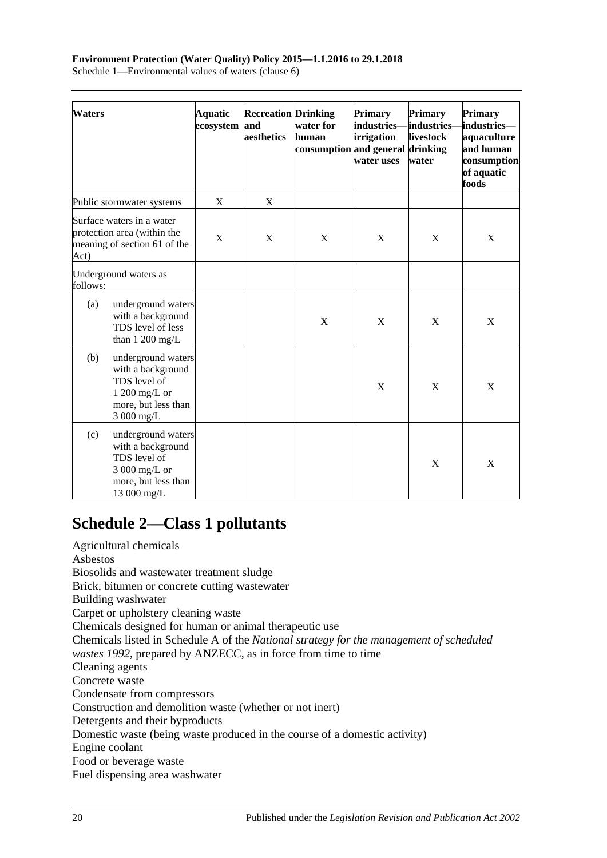#### **Environment Protection (Water Quality) Policy 2015—1.1.2016 to 29.1.2018** Schedule 1—Environmental values of waters (clause 6)

| <b>Waters</b> |                                                                                                                | Aquatic<br>ecosystem | <b>Recreation Drinking</b><br>and<br>aesthetics | water for<br>human<br>consumption and general drinking | <b>Primary</b><br>industries-<br>irrigation<br>water uses | <b>Primary</b><br>industries-<br>livestock<br>water | <b>Primary</b><br>industries—<br>aquaculture<br>and human<br>consumption<br>of aquatic<br>foods |
|---------------|----------------------------------------------------------------------------------------------------------------|----------------------|-------------------------------------------------|--------------------------------------------------------|-----------------------------------------------------------|-----------------------------------------------------|-------------------------------------------------------------------------------------------------|
|               | Public stormwater systems                                                                                      | $\mathbf X$          | $\boldsymbol{X}$                                |                                                        |                                                           |                                                     |                                                                                                 |
| Act)          | Surface waters in a water<br>protection area (within the<br>meaning of section 61 of the                       | X                    | X                                               | X                                                      | X                                                         | X                                                   | X                                                                                               |
| follows:      | Underground waters as                                                                                          |                      |                                                 |                                                        |                                                           |                                                     |                                                                                                 |
| (a)           | underground waters<br>with a background<br>TDS level of less<br>than 1 200 mg/L                                |                      |                                                 | X                                                      | X                                                         | X                                                   | X                                                                                               |
| (b)           | underground waters<br>with a background<br>TDS level of<br>1 200 mg/L or<br>more, but less than<br>3 000 mg/L  |                      |                                                 |                                                        | X                                                         | X                                                   | X                                                                                               |
| (c)           | underground waters<br>with a background<br>TDS level of<br>3 000 mg/L or<br>more, but less than<br>13 000 mg/L |                      |                                                 |                                                        |                                                           | X                                                   | X                                                                                               |

# <span id="page-19-0"></span>**Schedule 2—Class 1 pollutants**

Agricultural chemicals Asbestos Biosolids and wastewater treatment sludge Brick, bitumen or concrete cutting wastewater Building washwater Carpet or upholstery cleaning waste Chemicals designed for human or animal therapeutic use Chemicals listed in Schedule A of the *National strategy for the management of scheduled wastes 1992*, prepared by ANZECC, as in force from time to time Cleaning agents Concrete waste Condensate from compressors Construction and demolition waste (whether or not inert) Detergents and their byproducts Domestic waste (being waste produced in the course of a domestic activity) Engine coolant Food or beverage waste Fuel dispensing area washwater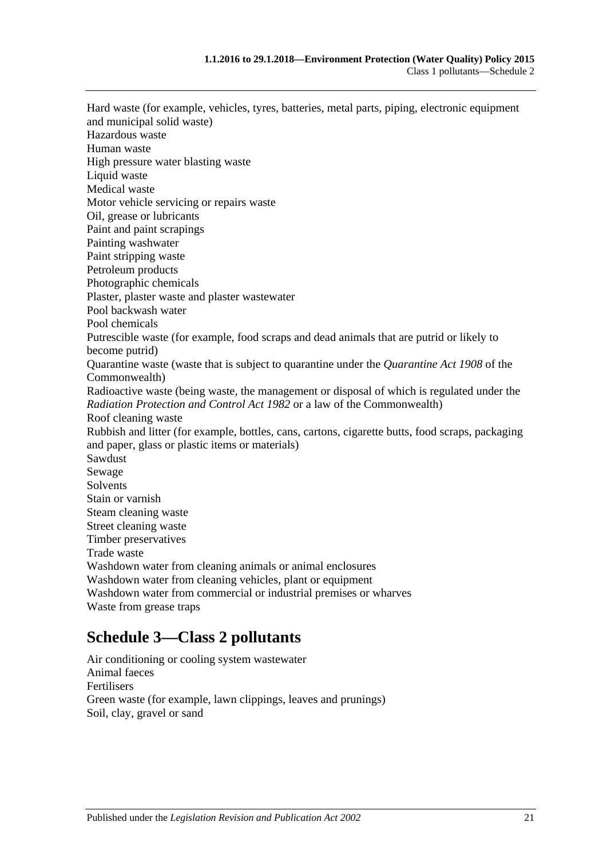Hard waste (for example, vehicles, tyres, batteries, metal parts, piping, electronic equipment and municipal solid waste) Hazardous waste Human waste High pressure water blasting waste Liquid waste Medical waste Motor vehicle servicing or repairs waste Oil, grease or lubricants Paint and paint scrapings Painting washwater Paint stripping waste Petroleum products Photographic chemicals Plaster, plaster waste and plaster wastewater Pool backwash water Pool chemicals Putrescible waste (for example, food scraps and dead animals that are putrid or likely to become putrid) Quarantine waste (waste that is subject to quarantine under the *Quarantine Act 1908* of the Commonwealth) Radioactive waste (being waste, the management or disposal of which is regulated under the *[Radiation Protection and Control Act](http://www.legislation.sa.gov.au/index.aspx?action=legref&type=act&legtitle=Radiation%20Protection%20and%20Control%20Act%201982) 1982* or a law of the Commonwealth) Roof cleaning waste Rubbish and litter (for example, bottles, cans, cartons, cigarette butts, food scraps, packaging and paper, glass or plastic items or materials) Sawdust Sewage Solvents Stain or varnish Steam cleaning waste Street cleaning waste Timber preservatives Trade waste Washdown water from cleaning animals or animal enclosures Washdown water from cleaning vehicles, plant or equipment Washdown water from commercial or industrial premises or wharves Waste from grease traps

## <span id="page-20-0"></span>**Schedule 3—Class 2 pollutants**

Air conditioning or cooling system wastewater Animal faeces Fertilisers Green waste (for example, lawn clippings, leaves and prunings) Soil, clay, gravel or sand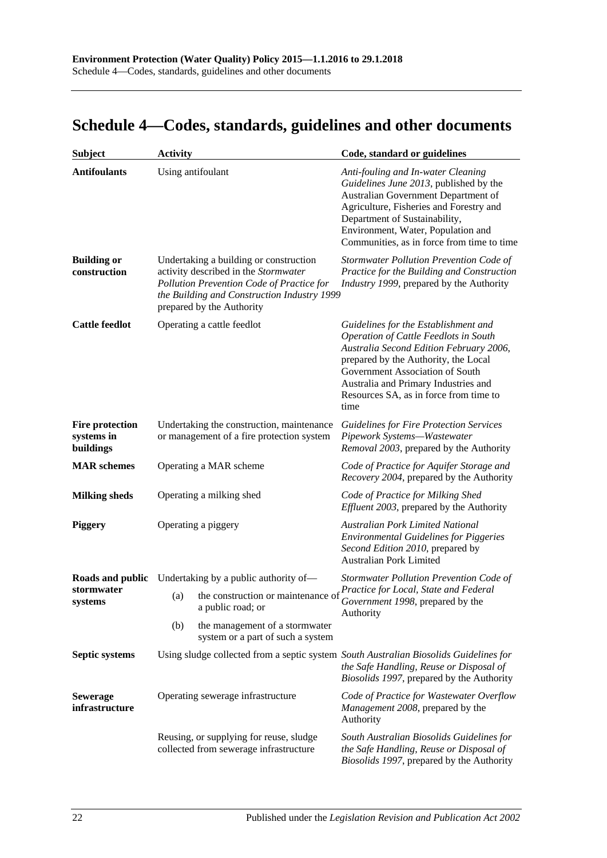# <span id="page-21-0"></span>**Schedule 4—Codes, standards, guidelines and other documents**

| <b>Subject</b>                                    | <b>Activity</b>                                                                        |                                                                                                                                                                                                         | Code, standard or guidelines                                                                                                                                                                                                                                                                         |  |
|---------------------------------------------------|----------------------------------------------------------------------------------------|---------------------------------------------------------------------------------------------------------------------------------------------------------------------------------------------------------|------------------------------------------------------------------------------------------------------------------------------------------------------------------------------------------------------------------------------------------------------------------------------------------------------|--|
| <b>Antifoulants</b>                               |                                                                                        | Using antifoulant                                                                                                                                                                                       | Anti-fouling and In-water Cleaning<br>Guidelines June 2013, published by the<br>Australian Government Department of<br>Agriculture, Fisheries and Forestry and<br>Department of Sustainability,<br>Environment, Water, Population and<br>Communities, as in force from time to time                  |  |
| <b>Building or</b><br>construction                |                                                                                        | Undertaking a building or construction<br>activity described in the Stormwater<br>Pollution Prevention Code of Practice for<br>the Building and Construction Industry 1999<br>prepared by the Authority | Stormwater Pollution Prevention Code of<br>Practice for the Building and Construction<br>Industry 1999, prepared by the Authority                                                                                                                                                                    |  |
| <b>Cattle feedlot</b>                             |                                                                                        | Operating a cattle feedlot                                                                                                                                                                              | Guidelines for the Establishment and<br><b>Operation of Cattle Feedlots in South</b><br>Australia Second Edition February 2006,<br>prepared by the Authority, the Local<br>Government Association of South<br>Australia and Primary Industries and<br>Resources SA, as in force from time to<br>time |  |
| <b>Fire protection</b><br>systems in<br>buildings | Undertaking the construction, maintenance<br>or management of a fire protection system |                                                                                                                                                                                                         | <b>Guidelines for Fire Protection Services</b><br>Pipework Systems-Wastewater<br>Removal 2003, prepared by the Authority                                                                                                                                                                             |  |
| <b>MAR</b> schemes                                |                                                                                        | Operating a MAR scheme                                                                                                                                                                                  | Code of Practice for Aquifer Storage and<br>Recovery 2004, prepared by the Authority                                                                                                                                                                                                                 |  |
| <b>Milking sheds</b>                              |                                                                                        | Operating a milking shed                                                                                                                                                                                | Code of Practice for Milking Shed<br><i>Effluent 2003</i> , prepared by the Authority                                                                                                                                                                                                                |  |
| <b>Piggery</b>                                    | Operating a piggery                                                                    |                                                                                                                                                                                                         | <b>Australian Pork Limited National</b><br><b>Environmental Guidelines for Piggeries</b><br>Second Edition 2010, prepared by<br><b>Australian Pork Limited</b>                                                                                                                                       |  |
|                                                   | <b>Roads and public</b> Undertaking by a public authority of—                          |                                                                                                                                                                                                         | Stormwater Pollution Prevention Code of                                                                                                                                                                                                                                                              |  |
| stormwater<br>systems                             | (a)                                                                                    | the construction or maintenance of<br>a public road; or                                                                                                                                                 | Practice for Local, State and Federal<br>Government 1998, prepared by the<br>Authority                                                                                                                                                                                                               |  |
|                                                   | (b)                                                                                    | the management of a stormwater<br>system or a part of such a system                                                                                                                                     |                                                                                                                                                                                                                                                                                                      |  |
| Septic systems                                    |                                                                                        |                                                                                                                                                                                                         | Using sludge collected from a septic system South Australian Biosolids Guidelines for<br>the Safe Handling, Reuse or Disposal of<br>Biosolids 1997, prepared by the Authority                                                                                                                        |  |
| <b>Sewerage</b><br>infrastructure                 |                                                                                        | Operating sewerage infrastructure                                                                                                                                                                       | Code of Practice for Wastewater Overflow<br>Management 2008, prepared by the<br>Authority                                                                                                                                                                                                            |  |
|                                                   |                                                                                        | Reusing, or supplying for reuse, sludge<br>collected from sewerage infrastructure                                                                                                                       | South Australian Biosolids Guidelines for<br>the Safe Handling, Reuse or Disposal of<br>Biosolids 1997, prepared by the Authority                                                                                                                                                                    |  |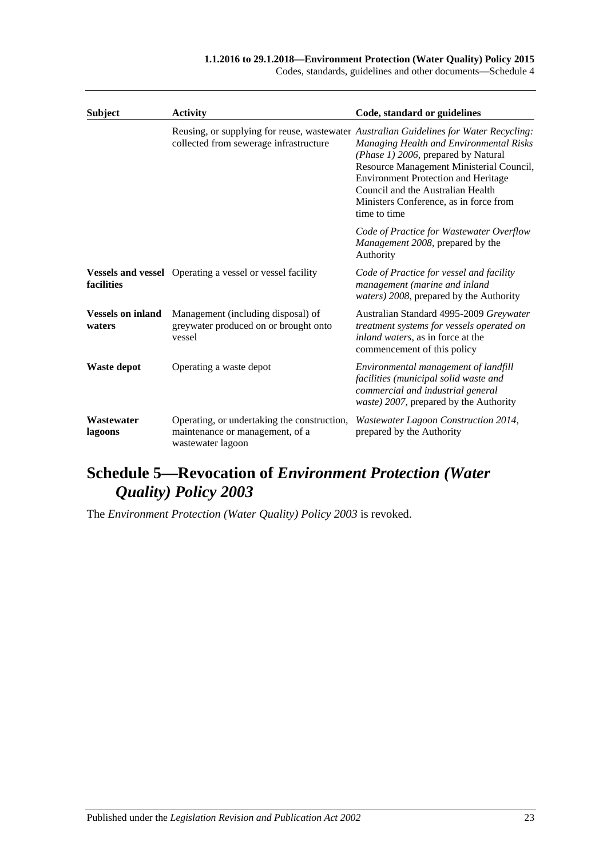Codes, standards, guidelines and other documents—Schedule 4

| <b>Subject</b>                     | <b>Activity</b>                                                                                     | Code, standard or guidelines                                                                                                                                                                                                                                                                                                                                      |
|------------------------------------|-----------------------------------------------------------------------------------------------------|-------------------------------------------------------------------------------------------------------------------------------------------------------------------------------------------------------------------------------------------------------------------------------------------------------------------------------------------------------------------|
|                                    | collected from sewerage infrastructure                                                              | Reusing, or supplying for reuse, wastewater Australian Guidelines for Water Recycling:<br>Managing Health and Environmental Risks<br>(Phase 1) 2006, prepared by Natural<br>Resource Management Ministerial Council,<br><b>Environment Protection and Heritage</b><br>Council and the Australian Health<br>Ministers Conference, as in force from<br>time to time |
|                                    |                                                                                                     | Code of Practice for Wastewater Overflow<br><i>Management 2008</i> , prepared by the<br>Authority                                                                                                                                                                                                                                                                 |
| facilities                         | <b>Vessels and vessel</b> Operating a vessel or vessel facility                                     | Code of Practice for vessel and facility<br>management (marine and inland<br>waters) 2008, prepared by the Authority                                                                                                                                                                                                                                              |
| <b>Vessels on inland</b><br>waters | Management (including disposal) of<br>greywater produced on or brought onto<br>vessel               | Australian Standard 4995-2009 Greywater<br>treatment systems for vessels operated on<br>inland waters, as in force at the<br>commencement of this policy                                                                                                                                                                                                          |
| Waste depot                        | Operating a waste depot                                                                             | Environmental management of landfill<br>facilities (municipal solid waste and<br>commercial and industrial general<br>waste) 2007, prepared by the Authority                                                                                                                                                                                                      |
| Wastewater<br>lagoons              | Operating, or undertaking the construction,<br>maintenance or management, of a<br>wastewater lagoon | Wastewater Lagoon Construction 2014,<br>prepared by the Authority                                                                                                                                                                                                                                                                                                 |

# <span id="page-22-0"></span>**Schedule 5—Revocation of** *Environment Protection (Water Quality) Policy 2003*

The *[Environment Protection \(Water Quality\) Policy](http://www.legislation.sa.gov.au/index.aspx?action=legref&type=subordleg&legtitle=Environment%20Protection%20(Water%20Quality)%20Policy%202003) 2003* is revoked.